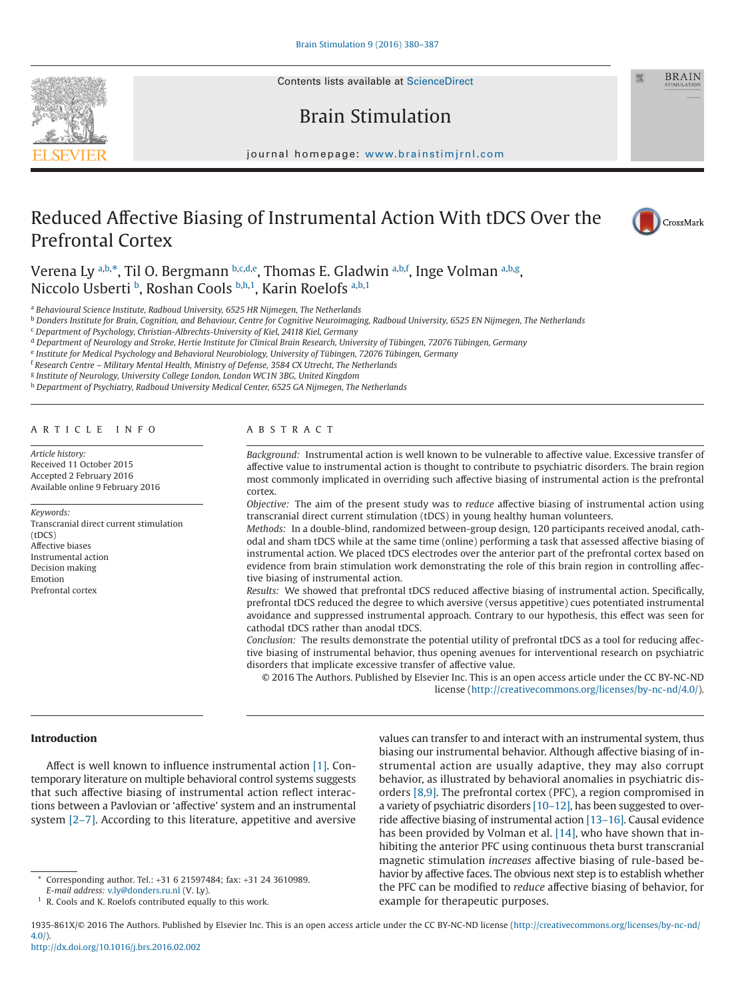Contents lists available at [ScienceDirect](http://www.sciencedirect.com/science/journal/1935861X)

# Brain Stimulation

journal homepage: [www.brainstimjrnl.com](http://www.brainstimjrnl.com)

# Reduced Affective Biasing of Instrumental Action With tDCS Over the Prefrontal Cortex



**BRAIN** 

Verena Ly [a,](#page-0-0)[b,](#page-0-1)[\\*,](#page-0-2) Til O. Bergmann b,[c](#page-0-3)[,d,](#page-0-4)[e](#page-0-5), Thom[a](#page-0-0)s E. Gladwin <sup>a[,b](#page-0-1)[,f](#page-0-6)</sup>, Inge Volman <sup>a,b[,g](#page-0-7)</sup>, Niccolo Us[b](#page-0-1)erti <sup>b</sup>, Roshan Cools b[,h,](#page-0-8)[1](#page-0-9), Karin Roelofs [a,](#page-0-0)[b,](#page-0-1)1

<span id="page-0-0"></span><sup>a</sup> *Behavioural Science Institute, Radboud University, 6525 HR Nijmegen, The Netherlands*

<span id="page-0-1"></span><sup>b</sup> *Donders Institute for Brain, Cognition, and Behaviour, Centre for Cognitive Neuroimaging, Radboud University, 6525 EN Nijmegen, The Netherlands*

<span id="page-0-3"></span><sup>c</sup> *Department of Psychology, Christian-Albrechts-University of Kiel, 24118 Kiel, Germany*

<span id="page-0-4"></span><sup>d</sup> *Department of Neurology and Stroke, Hertie Institute for Clinical Brain Research, University of Tübingen, 72076 Tübingen, Germany*

<span id="page-0-5"></span><sup>e</sup> *Institute for Medical Psychology and Behavioral Neurobiology, University of Tübingen, 72076 Tübingen, Germany*

<span id="page-0-6"></span><sup>f</sup> *Research Centre – Military Mental Health, Ministry of Defense, 3584 CX Utrecht, The Netherlands*

<span id="page-0-7"></span><sup>g</sup> *Institute of Neurology, University College London, London WC1N 3BG, United Kingdom*

<span id="page-0-8"></span><sup>h</sup> *Department of Psychiatry, Radboud University Medical Center, 6525 GA Nijmegen, The Netherlands*

#### ARTICLE INFO

*Article history:* Received 11 October 2015 Accepted 2 February 2016 Available online 9 February 2016

*Keywords:* Transcranial direct current stimulation (tDCS) Affective biases Instrumental action Decision making Emotion Prefrontal cortex

## ABSTRACT

*Background:* Instrumental action is well known to be vulnerable to affective value. Excessive transfer of affective value to instrumental action is thought to contribute to psychiatric disorders. The brain region most commonly implicated in overriding such affective biasing of instrumental action is the prefrontal cortex.

*Objective:* The aim of the present study was to *reduce* affective biasing of instrumental action using transcranial direct current stimulation (tDCS) in young healthy human volunteers.

*Methods:* In a double-blind, randomized between-group design, 120 participants received anodal, cathodal and sham tDCS while at the same time (online) performing a task that assessed affective biasing of instrumental action. We placed tDCS electrodes over the anterior part of the prefrontal cortex based on evidence from brain stimulation work demonstrating the role of this brain region in controlling affective biasing of instrumental action.

*Results:* We showed that prefrontal tDCS reduced affective biasing of instrumental action. Specifically, prefrontal tDCS reduced the degree to which aversive (versus appetitive) cues potentiated instrumental avoidance and suppressed instrumental approach. Contrary to our hypothesis, this effect was seen for cathodal tDCS rather than anodal tDCS.

*Conclusion:* The results demonstrate the potential utility of prefrontal tDCS as a tool for reducing affective biasing of instrumental behavior, thus opening avenues for interventional research on psychiatric disorders that implicate excessive transfer of affective value.

© 2016 The Authors. Published by Elsevier Inc. This is an open access article under the CC BY-NC-ND license (http://creativecommons.org/licenses/by-nc-nd/4.0/).

#### **Introduction**

Affect is well known to influence instrumental action [\[1\].](#page-6-0) Contemporary literature on multiple behavioral control systems suggests that such affective biasing of instrumental action reflect interactions between a Pavlovian or 'affective' system and an instrumental system [\[2–7\].](#page-6-1) According to this literature, appetitive and aversive

<span id="page-0-2"></span>\* Corresponding author. Tel.: +31 6 21597484; fax: +31 24 3610989. *E-mail address:* [v.ly@donders.ru.nl](mailto:v.ly@donders.ru.nl) (V. Ly).

values can transfer to and interact with an instrumental system, thus biasing our instrumental behavior. Although affective biasing of instrumental action are usually adaptive, they may also corrupt behavior, as illustrated by behavioral anomalies in psychiatric disorders [\[8,9\].](#page-6-2) The prefrontal cortex (PFC), a region compromised in a variety of psychiatric disorders [\[10–12\],](#page-6-3) has been suggested to override affective biasing of instrumental action [\[13–16\].](#page-6-4) Causal evidence has been provided by Volman et al. [\[14\],](#page-6-5) who have shown that inhibiting the anterior PFC using continuous theta burst transcranial magnetic stimulation *increases* affective biasing of rule-based behavior by affective faces. The obvious next step is to establish whether the PFC can be modified to *reduce* affective biasing of behavior, for example for therapeutic purposes.

1935-861X/© 2016 The Authors. Published by Elsevier Inc. This is an open access article under the CC BY-NC-ND license (http://creativecommons.org/licenses/by-nc-nd/ 4.0/).



<span id="page-0-9"></span><sup>1</sup> R. Cools and K. Roelofs contributed equally to this work.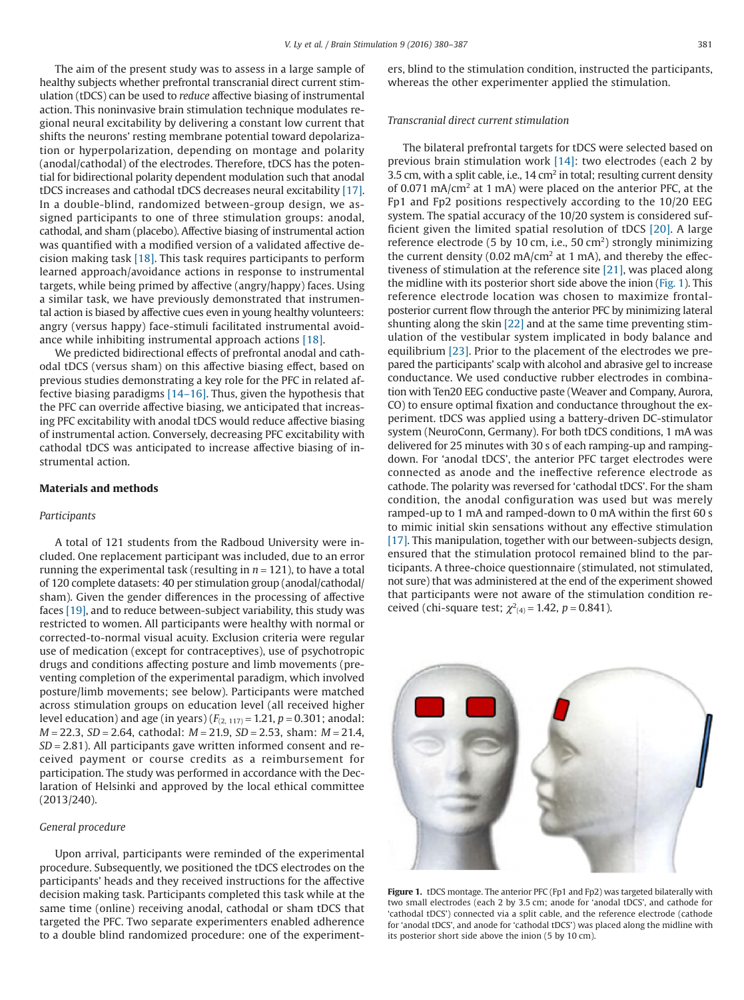<span id="page-1-0"></span>The aim of the present study was to assess in a large sample of healthy subjects whether prefrontal transcranial direct current stimulation (tDCS) can be used to *reduce* affective biasing of instrumental action. This noninvasive brain stimulation technique modulates regional neural excitability by delivering a constant low current that shifts the neurons' resting membrane potential toward depolarization or hyperpolarization, depending on montage and polarity (anodal/cathodal) of the electrodes. Therefore, tDCS has the potential for bidirectional polarity dependent modulation such that anodal tDCS increases and cathodal tDCS decreases neural excitability [\[17\].](#page-6-6) In a double-blind, randomized between-group design, we assigned participants to one of three stimulation groups: anodal, cathodal, and sham (placebo). Affective biasing of instrumental action was quantified with a modified version of a validated affective decision making task [\[18\].](#page-6-7) This task requires participants to perform learned approach/avoidance actions in response to instrumental targets, while being primed by affective (angry/happy) faces. Using a similar task, we have previously demonstrated that instrumental action is biased by affective cues even in young healthy volunteers: angry (versus happy) face-stimuli facilitated instrumental avoidance while inhibiting instrumental approach actions [\[18\].](#page-6-7)

We predicted bidirectional effects of prefrontal anodal and cathodal tDCS (versus sham) on this affective biasing effect, based on previous studies demonstrating a key role for the PFC in related affective biasing paradigms [\[14–16\].](#page-6-5) Thus, given the hypothesis that the PFC can override affective biasing, we anticipated that increasing PFC excitability with anodal tDCS would reduce affective biasing of instrumental action. Conversely, decreasing PFC excitability with cathodal tDCS was anticipated to increase affective biasing of instrumental action.

# **Materials and methods**

#### *Participants*

A total of 121 students from the Radboud University were included. One replacement participant was included, due to an error running the experimental task (resulting in  $n = 121$ ), to have a total of 120 complete datasets: 40 per stimulation group (anodal/cathodal/ sham). Given the gender differences in the processing of affective faces [\[19\],](#page-6-8) and to reduce between-subject variability, this study was restricted to women. All participants were healthy with normal or corrected-to-normal visual acuity. Exclusion criteria were regular use of medication (except for contraceptives), use of psychotropic drugs and conditions affecting posture and limb movements (preventing completion of the experimental paradigm, which involved posture/limb movements; see below). Participants were matched across stimulation groups on education level (all received higher level education) and age (in years)  $(F_{(2, 117)} = 1.21, p = 0.301;$  anodal: *M* = 22.3, *SD* = 2.64, cathodal: *M* = 21.9, *SD* = 2.53, sham: *M* = 21.4, *SD* = 2.81). All participants gave written informed consent and received payment or course credits as a reimbursement for participation. The study was performed in accordance with the Declaration of Helsinki and approved by the local ethical committee (2013/240).

# *General procedure*

Upon arrival, participants were reminded of the experimental procedure. Subsequently, we positioned the tDCS electrodes on the participants' heads and they received instructions for the affective decision making task. Participants completed this task while at the same time (online) receiving anodal, cathodal or sham tDCS that targeted the PFC. Two separate experimenters enabled adherence to a double blind randomized procedure: one of the experimenters, blind to the stimulation condition, instructed the participants, whereas the other experimenter applied the stimulation.

#### *Transcranial direct current stimulation*

The bilateral prefrontal targets for tDCS were selected based on previous brain stimulation work [\[14\]:](#page-6-5) two electrodes (each 2 by 3.5 cm, with a split cable, i.e., 14 cm<sup>2</sup> in total; resulting current density of 0.071 mA/cm2 at 1 mA) were placed on the anterior PFC, at the Fp1 and Fp2 positions respectively according to the 10/20 EEG system. The spatial accuracy of the 10/20 system is considered sufficient given the limited spatial resolution of tDCS [\[20\].](#page-6-9) A large reference electrode (5 by 10 cm, i.e., 50 cm<sup>2</sup>) strongly minimizing the current density (0.02 mA/cm<sup>2</sup> at 1 mA), and thereby the effectiveness of stimulation at the reference site [\[21\],](#page-6-10) was placed along the midline with its posterior short side above the inion (Fig. 1). This reference electrode location was chosen to maximize frontalposterior current flow through the anterior PFC by minimizing lateral shunting along the skin [\[22\]](#page-6-11) and at the same time preventing stimulation of the vestibular system implicated in body balance and equilibrium [\[23\].](#page-6-12) Prior to the placement of the electrodes we prepared the participants' scalp with alcohol and abrasive gel to increase conductance. We used conductive rubber electrodes in combination with Ten20 EEG conductive paste (Weaver and Company, Aurora, CO) to ensure optimal fixation and conductance throughout the experiment. tDCS was applied using a battery-driven DC-stimulator system (NeuroConn, Germany). For both tDCS conditions, 1 mA was delivered for 25 minutes with 30 s of each ramping-up and rampingdown. For 'anodal tDCS', the anterior PFC target electrodes were connected as anode and the ineffective reference electrode as cathode. The polarity was reversed for 'cathodal tDCS'. For the sham condition, the anodal configuration was used but was merely ramped-up to 1 mA and ramped-down to 0 mA within the first 60 s to mimic initial skin sensations without any effective stimulation [\[17\].](#page-6-6) This manipulation, together with our between-subjects design, ensured that the stimulation protocol remained blind to the participants. A three-choice questionnaire (stimulated, not stimulated, not sure) that was administered at the end of the experiment showed that participants were not aware of the stimulation condition received (chi-square test;  $\chi^2_{(4)} = 1.42$ ,  $p = 0.841$ ).



**Figure 1.** tDCS montage. The anterior PFC (Fp1 and Fp2) was targeted bilaterally with two small electrodes (each 2 by 3.5 cm; anode for 'anodal tDCS', and cathode for 'cathodal tDCS') connected via a split cable, and the reference electrode (cathode for 'anodal tDCS', and anode for 'cathodal tDCS') was placed along the midline with its posterior short side above the inion (5 by 10 cm).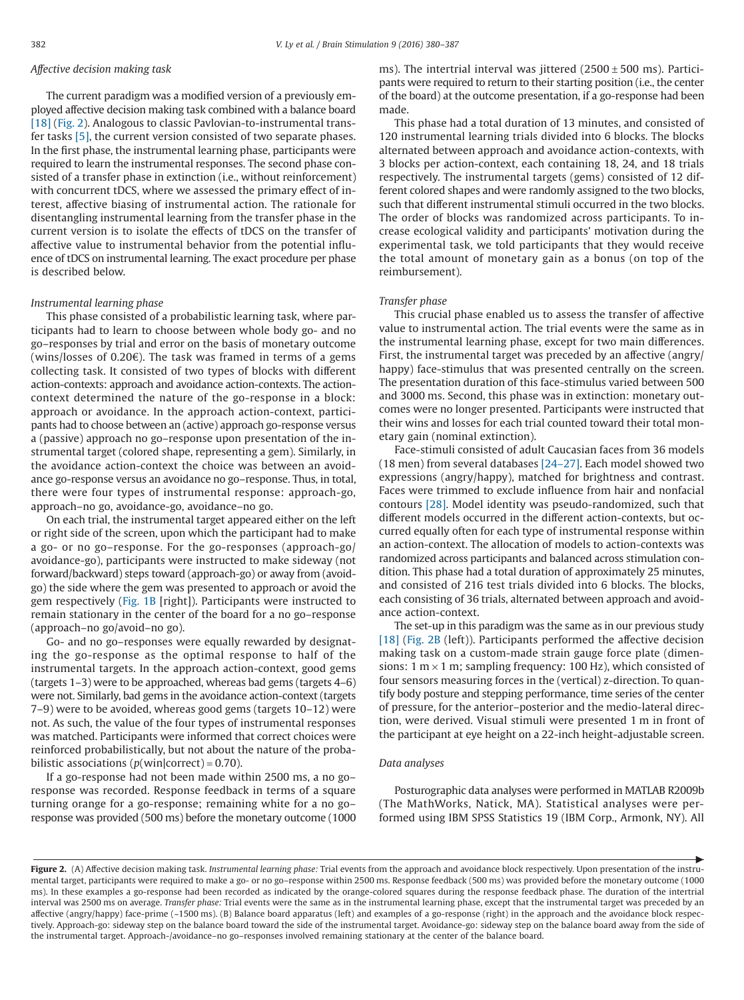#### *Affective decision making task*

The current paradigm was a modified version of a previously employed affective decision making task combined with a balance board [\[18\]](#page-6-7) (Fig. 2). Analogous to classic Pavlovian-to-instrumental transfer tasks [\[5\],](#page-6-13) the current version consisted of two separate phases. In the first phase, the instrumental learning phase, participants were required to learn the instrumental responses. The second phase consisted of a transfer phase in extinction (i.e., without reinforcement) with concurrent tDCS, where we assessed the primary effect of interest, affective biasing of instrumental action. The rationale for disentangling instrumental learning from the transfer phase in the current version is to isolate the effects of tDCS on the transfer of affective value to instrumental behavior from the potential influence of tDCS on instrumental learning. The exact procedure per phase is described below.

#### *Instrumental learning phase*

This phase consisted of a probabilistic learning task, where participants had to learn to choose between whole body go- and no go–responses by trial and error on the basis of monetary outcome (wins/losses of 0.20€). The task was framed in terms of a gems collecting task. It consisted of two types of blocks with different action-contexts: approach and avoidance action-contexts. The actioncontext determined the nature of the go-response in a block: approach or avoidance. In the approach action-context, participants had to choose between an (active) approach go-response versus a (passive) approach no go–response upon presentation of the instrumental target (colored shape, representing a gem). Similarly, in the avoidance action-context the choice was between an avoidance go-response versus an avoidance no go–response. Thus, in total, there were four types of instrumental response: approach-go, approach–no go, avoidance-go, avoidance–no go.

On each trial, the instrumental target appeared either on the left or right side of the screen, upon which the participant had to make a go- or no go–response. For the go-responses (approach-go/ avoidance-go), participants were instructed to make sideway (not forward/backward) steps toward (approach-go) or away from (avoidgo) the side where the gem was presented to approach or avoid the gem respectively [\(Fig. 1B](#page-1-0) [right]). Participants were instructed to remain stationary in the center of the board for a no go–response (approach–no go/avoid–no go).

Go- and no go–responses were equally rewarded by designating the go-response as the optimal response to half of the instrumental targets. In the approach action-context, good gems (targets 1–3) were to be approached, whereas bad gems (targets 4–6) were not. Similarly, bad gems in the avoidance action-context (targets 7–9) were to be avoided, whereas good gems (targets 10–12) were not. As such, the value of the four types of instrumental responses was matched. Participants were informed that correct choices were reinforced probabilistically, but not about the nature of the probabilistic associations ( $p(\text{win}|\text{correct}) = 0.70$ ).

If a go-response had not been made within 2500 ms, a no go– response was recorded. Response feedback in terms of a square turning orange for a go-response; remaining white for a no go– response was provided (500 ms) before the monetary outcome (1000 ms). The intertrial interval was jittered  $(2500 \pm 500 \text{ ms})$ . Participants were required to return to their starting position (i.e., the center of the board) at the outcome presentation, if a go-response had been made.

This phase had a total duration of 13 minutes, and consisted of 120 instrumental learning trials divided into 6 blocks. The blocks alternated between approach and avoidance action-contexts, with 3 blocks per action-context, each containing 18, 24, and 18 trials respectively. The instrumental targets (gems) consisted of 12 different colored shapes and were randomly assigned to the two blocks, such that different instrumental stimuli occurred in the two blocks. The order of blocks was randomized across participants. To increase ecological validity and participants' motivation during the experimental task, we told participants that they would receive the total amount of monetary gain as a bonus (on top of the reimbursement).

#### *Transfer phase*

This crucial phase enabled us to assess the transfer of affective value to instrumental action. The trial events were the same as in the instrumental learning phase, except for two main differences. First, the instrumental target was preceded by an affective (angry/ happy) face-stimulus that was presented centrally on the screen. The presentation duration of this face-stimulus varied between 500 and 3000 ms. Second, this phase was in extinction: monetary outcomes were no longer presented. Participants were instructed that their wins and losses for each trial counted toward their total monetary gain (nominal extinction).

Face-stimuli consisted of adult Caucasian faces from 36 models (18 men) from several databases [\[24–27\].](#page-6-14) Each model showed two expressions (angry/happy), matched for brightness and contrast. Faces were trimmed to exclude influence from hair and nonfacial contours [\[28\].](#page-6-15) Model identity was pseudo-randomized, such that different models occurred in the different action-contexts, but occurred equally often for each type of instrumental response within an action-context. The allocation of models to action-contexts was randomized across participants and balanced across stimulation condition. This phase had a total duration of approximately 25 minutes, and consisted of 216 test trials divided into 6 blocks. The blocks, each consisting of 36 trials, alternated between approach and avoidance action-context.

The set-up in this paradigm was the same as in our previous study [\[18\]](#page-6-7) (Fig. 2B (left)). Participants performed the affective decision making task on a custom-made strain gauge force plate (dimensions: 1 m  $\times$  1 m; sampling frequency: 100 Hz), which consisted of four sensors measuring forces in the (vertical) z-direction. To quantify body posture and stepping performance, time series of the center of pressure, for the anterior–posterior and the medio-lateral direction, were derived. Visual stimuli were presented 1 m in front of the participant at eye height on a 22-inch height-adjustable screen.

#### *Data analyses*

Posturographic data analyses were performed in MATLAB R2009b (The MathWorks, Natick, MA). Statistical analyses were performed using IBM SPSS Statistics 19 (IBM Corp., Armonk, NY). All

▶

**Figure 2.** (A) Affective decision making task. *Instrumental learning phase:* Trial events from the approach and avoidance block respectively. Upon presentation of the instrumental target, participants were required to make a go- or no go–response within 2500 ms. Response feedback (500 ms) was provided before the monetary outcome (1000 ms). In these examples a go-response had been recorded as indicated by the orange-colored squares during the response feedback phase. The duration of the intertrial interval was 2500 ms on average. *Transfer phase:* Trial events were the same as in the instrumental learning phase, except that the instrumental target was preceded by an affective (angry/happy) face-prime (~1500 ms). (B) Balance board apparatus (left) and examples of a go-response (right) in the approach and the avoidance block respectively. Approach-go: sideway step on the balance board toward the side of the instrumental target. Avoidance-go: sideway step on the balance board away from the side of the instrumental target. Approach-/avoidance–no go–responses involved remaining stationary at the center of the balance board.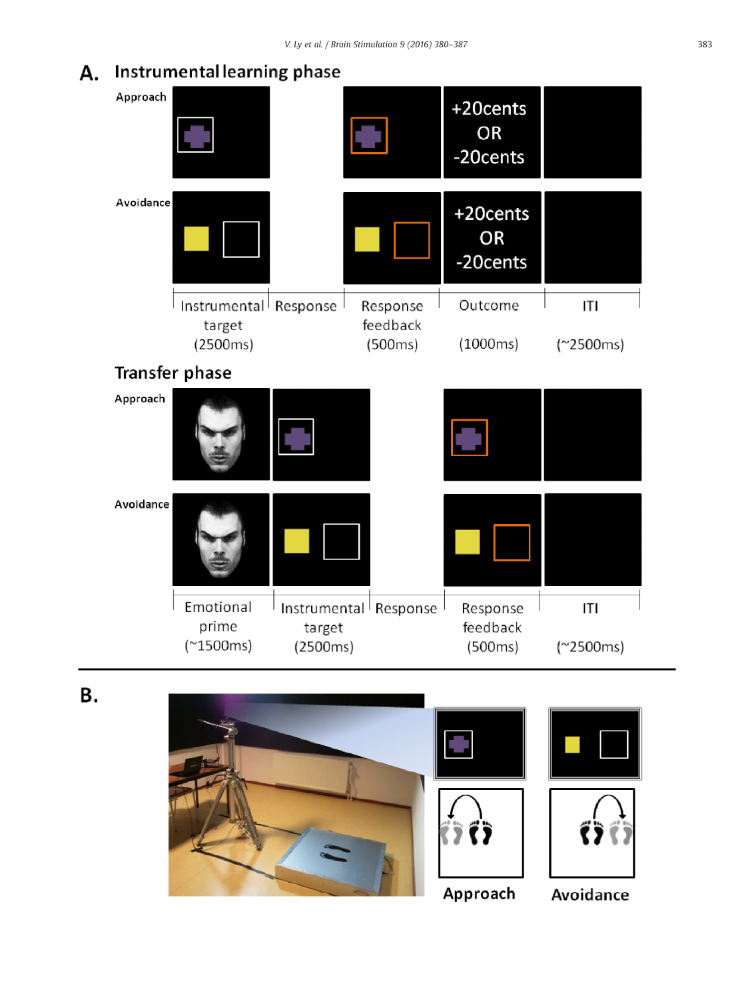# A. Instrumental learning phase

| Approach  |                       |                    |                       | +20cents<br><b>OR</b><br>-20cents |             |
|-----------|-----------------------|--------------------|-----------------------|-----------------------------------|-------------|
| Avoidance |                       |                    |                       | +20cents<br><b>OR</b><br>-20cents |             |
|           | Instrumental Response |                    | Response              | Outcome                           | ITI         |
|           | target<br>(2500ms)    |                    | feedback<br>(500ms)   | (1000ms)                          | $(*2500ms)$ |
|           | Transfer phase        |                    |                       |                                   |             |
| Approach  |                       |                    |                       |                                   |             |
| Avoidance |                       |                    |                       |                                   |             |
|           | Emotional             |                    | Instrumental Response | Response                          | ITI         |
|           | prime<br>$(*1500ms)$  | target<br>(2500ms) |                       | feedback<br>(500ms)               | $(*2500ms)$ |

В.

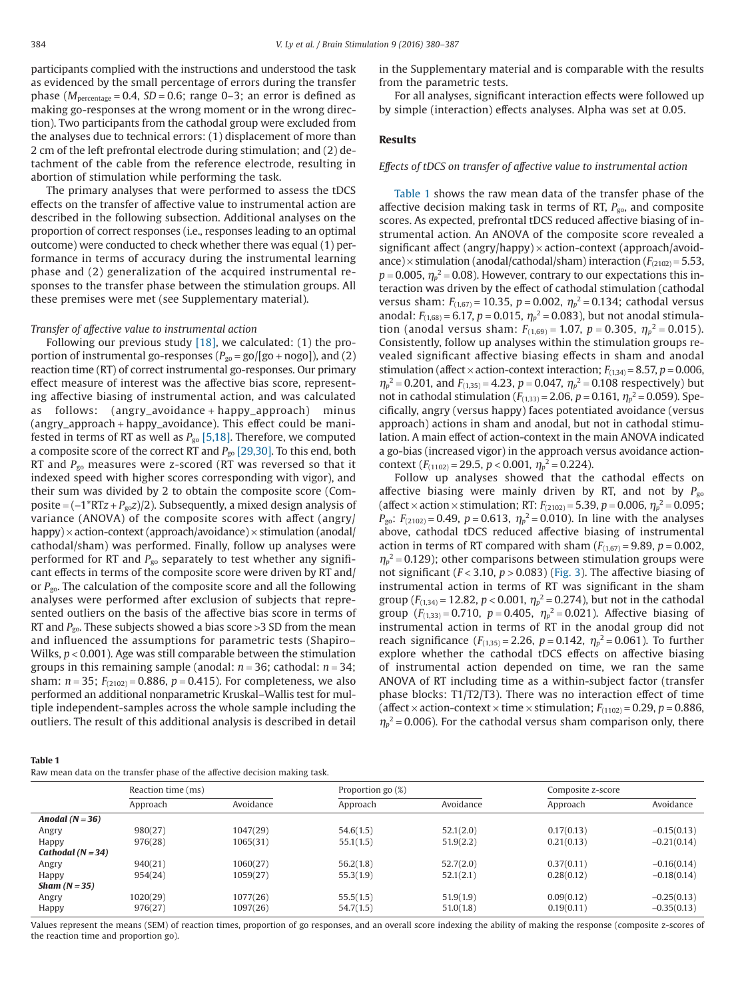participants complied with the instructions and understood the task as evidenced by the small percentage of errors during the transfer phase ( $M<sub>percentage</sub> = 0.4$ ,  $SD = 0.6$ ; range 0–3; an error is defined as making go-responses at the wrong moment or in the wrong direction). Two participants from the cathodal group were excluded from the analyses due to technical errors: (1) displacement of more than 2 cm of the left prefrontal electrode during stimulation; and (2) detachment of the cable from the reference electrode, resulting in abortion of stimulation while performing the task.

The primary analyses that were performed to assess the tDCS effects on the transfer of affective value to instrumental action are described in the following subsection. Additional analyses on the proportion of correct responses (i.e., responses leading to an optimal outcome) were conducted to check whether there was equal (1) performance in terms of accuracy during the instrumental learning phase and (2) generalization of the acquired instrumental responses to the transfer phase between the stimulation groups. All these premises were met (see Supplementary material).

#### *Transfer of affective value to instrumental action*

Following our previous study  $[18]$ , we calculated: (1) the proportion of instrumental go-responses  $(P_{\text{go}} = \text{go}/[\text{go} + \text{nogo}])$ , and (2) reaction time (RT) of correct instrumental go-responses. Our primary effect measure of interest was the affective bias score, representing affective biasing of instrumental action, and was calculated as follows: (angry\_avoidance + happy\_approach) minus (angry\_approach + happy\_avoidance). This effect could be manifested in terms of RT as well as  $P_{\text{go}}$  [\[5,18\].](#page-6-13) Therefore, we computed a composite score of the correct RT and *P*go [\[29,30\].](#page-6-16) To this end, both RT and *P*go measures were z-scored (RT was reversed so that it indexed speed with higher scores corresponding with vigor), and their sum was divided by 2 to obtain the composite score (Composite = (−1\*RT*z* + *P*go*z*)/2). Subsequently, a mixed design analysis of variance (ANOVA) of the composite scores with affect (angry/ happy)  $\times$  action-context (approach/avoidance)  $\times$  stimulation (anodal/ cathodal/sham) was performed. Finally, follow up analyses were performed for RT and  $P_{\rm go}$  separately to test whether any significant effects in terms of the composite score were driven by RT and/ or  $P_{\text{go}}$ . The calculation of the composite score and all the following analyses were performed after exclusion of subjects that represented outliers on the basis of the affective bias score in terms of RT and *P<sub>go</sub>*. These subjects showed a bias score >3 SD from the mean and influenced the assumptions for parametric tests (Shapiro– Wilks, *p* < 0.001). Age was still comparable between the stimulation groups in this remaining sample (anodal: *n* = 36; cathodal: *n* = 34; sham:  $n = 35$ ;  $F_{(2102)} = 0.886$ ,  $p = 0.415$ ). For completeness, we also performed an additional nonparametric Kruskal–Wallis test for multiple independent-samples across the whole sample including the outliers. The result of this additional analysis is described in detail in the Supplementary material and is comparable with the results from the parametric tests.

For all analyses, significant interaction effects were followed up by simple (interaction) effects analyses. Alpha was set at 0.05.

#### **Results**

## *Effects of tDCS on transfer of affective value to instrumental action*

Table 1 shows the raw mean data of the transfer phase of the affective decision making task in terms of RT,  $P_{\text{go}}$ , and composite scores. As expected, prefrontal tDCS reduced affective biasing of instrumental action. An ANOVA of the composite score revealed a significant affect (angry/happy) × action-context (approach/avoidance)  $\times$  stimulation (anodal/cathodal/sham) interaction ( $F_{(2102)} = 5.53$ ,  $p = 0.005$ ,  $\eta_p^2 = 0.08$ ). However, contrary to our expectations this interaction was driven by the effect of cathodal stimulation (cathodal versus sham: *F*(1,67) = 10.35, *p* = 0.002, *ηp* <sup>2</sup> = 0.134; cathodal versus anodal:  $F_{(1,68)} = 6.17$ ,  $p = 0.015$ ,  $\eta_p^2 = 0.083$ ), but not anodal stimulation (anodal versus sham:  $F_{(1,69)} = 1.07$ ,  $p = 0.305$ ,  $\eta_p^2 = 0.015$ ). Consistently, follow up analyses within the stimulation groups revealed significant affective biasing effects in sham and anodal stimulation (affect  $\times$  action-context interaction;  $F_{(1,34)} = 8.57$ ,  $p = 0.006$ ,  $\eta_p^2$  = 0.201, and *F*<sub>(1,35)</sub> = 4.23, *p* = 0.047,  $\eta_p^2$  = 0.108 respectively) but not in cathodal stimulation ( $F_{(1,33)} = 2.06$ ,  $p = 0.161$ ,  $\eta_p^2 = 0.059$ ). Specifically, angry (versus happy) faces potentiated avoidance (versus approach) actions in sham and anodal, but not in cathodal stimulation. A main effect of action-context in the main ANOVA indicated a go-bias (increased vigor) in the approach versus avoidance actioncontext  $(F_{(1102)} = 29.5, p < 0.001, \eta_p^2 = 0.224)$ .

Follow up analyses showed that the cathodal effects on affective biasing were mainly driven by RT, and not by  $P_{\text{go}}$ (affect  $\times$  action  $\times$  stimulation; RT:  $F_{(2102)} = 5.39$ ,  $p = 0.006$ ,  $\eta_p^2 = 0.095$ ; *P*<sub>go</sub>:  $F_{(2102)} = 0.49$ ,  $p = 0.613$ ,  $\eta_p^2 = 0.010$ ). In line with the analyses above, cathodal tDCS reduced affective biasing of instrumental action in terms of RT compared with sham  $(F_{(1,67)} = 9.89, p = 0.002,$  $\eta_p^2$  = 0.129); other comparisons between stimulation groups were not significant  $(F < 3.10, p > 0.083)$  [\(Fig. 3\)](#page-5-0). The affective biasing of instrumental action in terms of RT was significant in the sham group ( $F_{(1,34)}$  = 12.82,  $p < 0.001$ ,  $\eta_p^2$  = 0.274), but not in the cathodal group  $(F_{(1,33)} = 0.710, p = 0.405, \eta_p^2 = 0.021)$ . Affective biasing of instrumental action in terms of RT in the anodal group did not reach significance ( $F_{(1,35)} = 2.26$ ,  $p = 0.142$ ,  $\eta_p^2 = 0.061$ ). To further explore whether the cathodal tDCS effects on affective biasing of instrumental action depended on time, we ran the same ANOVA of RT including time as a within-subject factor (transfer phase blocks: T1/T2/T3). There was no interaction effect of time (affect  $\times$  action-context  $\times$  time  $\times$  stimulation;  $F_{(1102)} = 0.29$ ,  $p = 0.886$ ,  $\eta_p^2$  = 0.006). For the cathodal versus sham comparison only, there

| um, | $\sim$ |  |
|-----|--------|--|

Raw mean data on the transfer phase of the affective decision making task.

|                     |          | Reaction time (ms) |           |           | Composite z-score |               |
|---------------------|----------|--------------------|-----------|-----------|-------------------|---------------|
|                     | Approach | Avoidance          | Approach  | Avoidance | Approach          | Avoidance     |
| Anodal $(N = 36)$   |          |                    |           |           |                   |               |
| Angry               | 980(27)  | 1047(29)           | 54.6(1.5) | 52.1(2.0) | 0.17(0.13)        | $-0.15(0.13)$ |
| Happy               | 976(28)  | 1065(31)           | 55.1(1.5) | 51.9(2.2) | 0.21(0.13)        | $-0.21(0.14)$ |
| Cathodal $(N = 34)$ |          |                    |           |           |                   |               |
| Angry               | 940(21)  | 1060(27)           | 56.2(1.8) | 52.7(2.0) | 0.37(0.11)        | $-0.16(0.14)$ |
| Happy               | 954(24)  | 1059(27)           | 55.3(1.9) | 52.1(2.1) | 0.28(0.12)        | $-0.18(0.14)$ |
| Sham $(N = 35)$     |          |                    |           |           |                   |               |
| Angry               | 1020(29) | 1077(26)           | 55.5(1.5) | 51.9(1.9) | 0.09(0.12)        | $-0.25(0.13)$ |
| Happy               | 976(27)  | 1097(26)           | 54.7(1.5) | 51.0(1.8) | 0.19(0.11)        | $-0.35(0.13)$ |
|                     |          |                    |           |           |                   |               |

Values represent the means (SEM) of reaction times, proportion of go responses, and an overall score indexing the ability of making the response (composite z-scores of the reaction time and proportion go).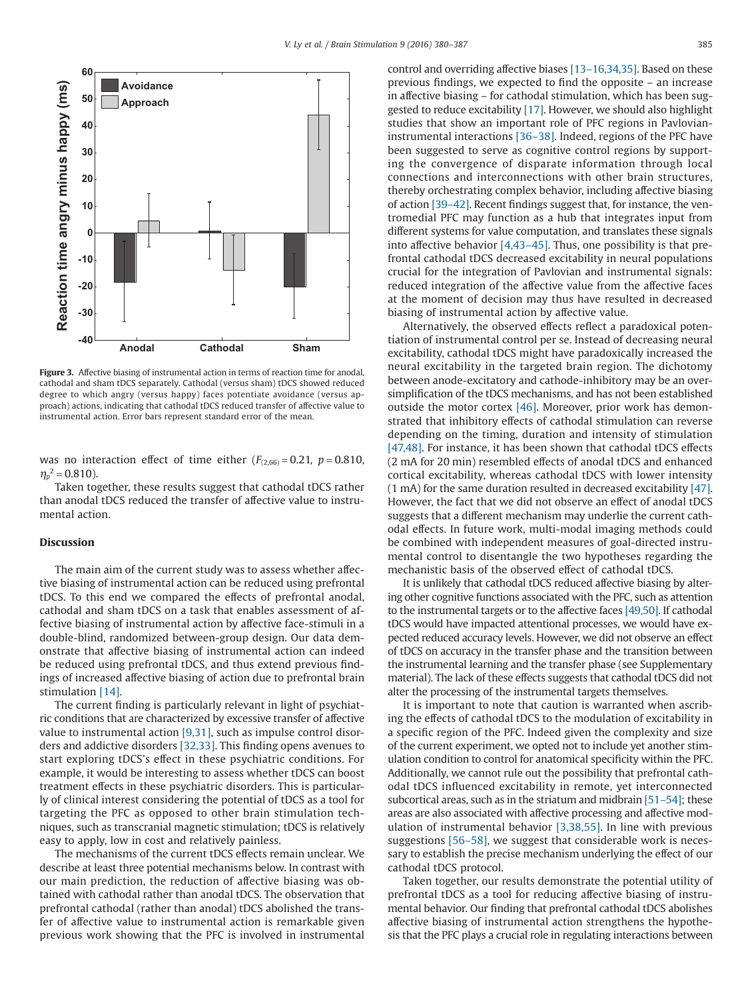<span id="page-5-0"></span>

**Figure 3.** Affective biasing of instrumental action in terms of reaction time for anodal, cathodal and sham tDCS separately. Cathodal (versus sham) tDCS showed reduced degree to which angry (versus happy) faces potentiate avoidance (versus approach) actions, indicating that cathodal tDCS reduced transfer of affective value to instrumental action. Error bars represent standard error of the mean.

was no interaction effect of time either  $(F_{(2,66)} = 0.21, p = 0.810,$  $\eta_p^2$  = 0.810).

Taken together, these results suggest that cathodal tDCS rather than anodal tDCS reduced the transfer of affective value to instrumental action.

#### **Discussion**

The main aim of the current study was to assess whether affective biasing of instrumental action can be reduced using prefrontal tDCS. To this end we compared the effects of prefrontal anodal, cathodal and sham tDCS on a task that enables assessment of affective biasing of instrumental action by affective face-stimuli in a double-blind, randomized between-group design. Our data demonstrate that affective biasing of instrumental action can indeed be reduced using prefrontal tDCS, and thus extend previous findings of increased affective biasing of action due to prefrontal brain stimulation [\[14\].](#page-6-5)

The current finding is particularly relevant in light of psychiatric conditions that are characterized by excessive transfer of affective value to instrumental action  $[9,31]$ , such as impulse control disorders and addictive disorders [\[32,33\].](#page-6-18) This finding opens avenues to start exploring tDCS's effect in these psychiatric conditions. For example, it would be interesting to assess whether tDCS can boost treatment effects in these psychiatric disorders. This is particularly of clinical interest considering the potential of tDCS as a tool for targeting the PFC as opposed to other brain stimulation techniques, such as transcranial magnetic stimulation; tDCS is relatively easy to apply, low in cost and relatively painless.

The mechanisms of the current tDCS effects remain unclear. We describe at least three potential mechanisms below. In contrast with our main prediction, the reduction of affective biasing was obtained with cathodal rather than anodal tDCS. The observation that prefrontal cathodal (rather than anodal) tDCS abolished the transfer of affective value to instrumental action is remarkable given previous work showing that the PFC is involved in instrumental control and overriding affective biases [\[13–16,34,35\].](#page-6-4) Based on these previous findings, we expected to find the opposite – an increase in affective biasing – for cathodal stimulation, which has been suggested to reduce excitability [\[17\].](#page-6-6) However, we should also highlight studies that show an important role of PFC regions in Pavlovianinstrumental interactions [\[36–38\].](#page-6-19) Indeed, regions of the PFC have been suggested to serve as cognitive control regions by supporting the convergence of disparate information through local connections and interconnections with other brain structures, thereby orchestrating complex behavior, including affective biasing of action [\[39–42\].](#page-6-20) Recent findings suggest that, for instance, the ventromedial PFC may function as a hub that integrates input from different systems for value computation, and translates these signals into affective behavior [\[4,43–45\].](#page-6-21) Thus, one possibility is that prefrontal cathodal tDCS decreased excitability in neural populations crucial for the integration of Pavlovian and instrumental signals: reduced integration of the affective value from the affective faces at the moment of decision may thus have resulted in decreased biasing of instrumental action by affective value.

Alternatively, the observed effects reflect a paradoxical potentiation of instrumental control per se. Instead of decreasing neural excitability, cathodal tDCS might have paradoxically increased the neural excitability in the targeted brain region. The dichotomy between anode-excitatory and cathode-inhibitory may be an oversimplification of the tDCS mechanisms, and has not been established outside the motor cortex [\[46\].](#page-7-0) Moreover, prior work has demonstrated that inhibitory effects of cathodal stimulation can reverse depending on the timing, duration and intensity of stimulation [\[47,48\].](#page-7-1) For instance, it has been shown that cathodal tDCS effects (2 mA for 20 min) resembled effects of anodal tDCS and enhanced cortical excitability, whereas cathodal tDCS with lower intensity (1 mA) for the same duration resulted in decreased excitability [\[47\].](#page-7-1) However, the fact that we did not observe an effect of anodal tDCS suggests that a different mechanism may underlie the current cathodal effects. In future work, multi-modal imaging methods could be combined with independent measures of goal-directed instrumental control to disentangle the two hypotheses regarding the mechanistic basis of the observed effect of cathodal tDCS.

It is unlikely that cathodal tDCS reduced affective biasing by altering other cognitive functions associated with the PFC, such as attention to the instrumental targets or to the affective faces [\[49,50\].](#page-7-2) If cathodal tDCS would have impacted attentional processes, we would have expected reduced accuracy levels. However, we did not observe an effect of tDCS on accuracy in the transfer phase and the transition between the instrumental learning and the transfer phase (see Supplementary material). The lack of these effects suggests that cathodal tDCS did not alter the processing of the instrumental targets themselves.

It is important to note that caution is warranted when ascribing the effects of cathodal tDCS to the modulation of excitability in a specific region of the PFC. Indeed given the complexity and size of the current experiment, we opted not to include yet another stimulation condition to control for anatomical specificity within the PFC. Additionally, we cannot rule out the possibility that prefrontal cathodal tDCS influenced excitability in remote, yet interconnected subcortical areas, such as in the striatum and midbrain  $[51-54]$ ; these areas are also associated with affective processing and affective modulation of instrumental behavior [\[3,38,55\].](#page-6-22) In line with previous suggestions [\[56–58\],](#page-7-4) we suggest that considerable work is necessary to establish the precise mechanism underlying the effect of our cathodal tDCS protocol.

Taken together, our results demonstrate the potential utility of prefrontal tDCS as a tool for reducing affective biasing of instrumental behavior. Our finding that prefrontal cathodal tDCS abolishes affective biasing of instrumental action strengthens the hypothesis that the PFC plays a crucial role in regulating interactions between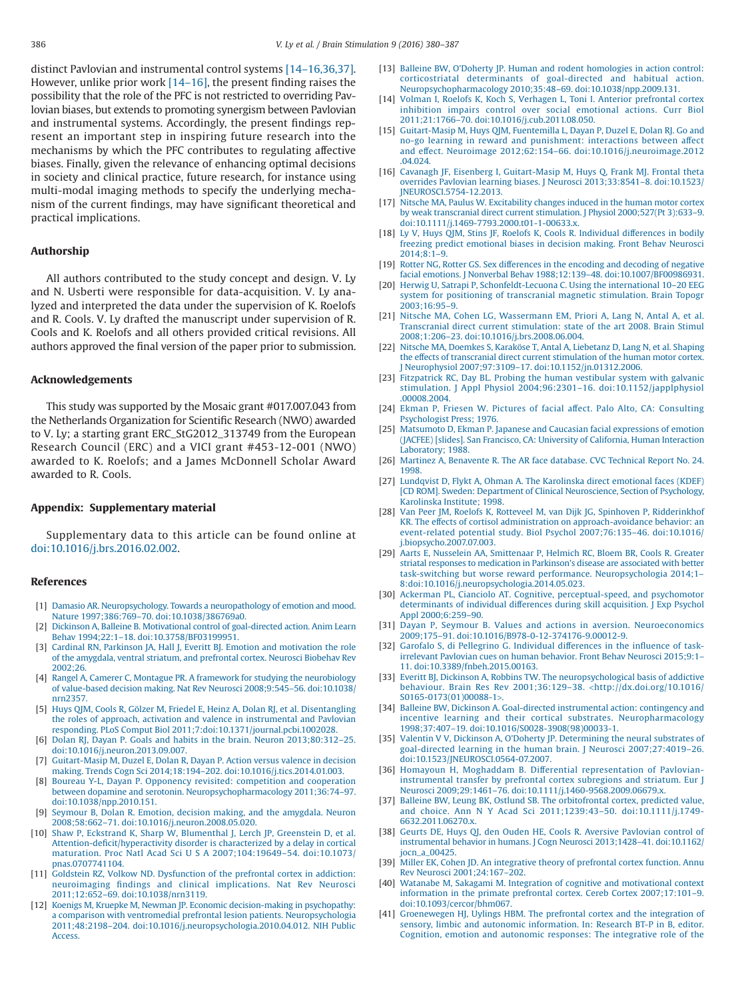distinct Pavlovian and instrumental control systems [\[14–16,36,37\].](#page-6-5) However, unlike prior work [\[14–16\],](#page-6-5) the present finding raises the possibility that the role of the PFC is not restricted to overriding Pavlovian biases, but extends to promoting synergism between Pavlovian and instrumental systems. Accordingly, the present findings represent an important step in inspiring future research into the mechanisms by which the PFC contributes to regulating affective biases. Finally, given the relevance of enhancing optimal decisions in society and clinical practice, future research, for instance using multi-modal imaging methods to specify the underlying mechanism of the current findings, may have significant theoretical and practical implications.

### **Authorship**

All authors contributed to the study concept and design. V. Ly and N. Usberti were responsible for data-acquisition. V. Ly analyzed and interpreted the data under the supervision of K. Roelofs and R. Cools. V. Ly drafted the manuscript under supervision of R. Cools and K. Roelofs and all others provided critical revisions. All authors approved the final version of the paper prior to submission.

#### **Acknowledgements**

This study was supported by the Mosaic grant #017.007.043 from the Netherlands Organization for Scientific Research (NWO) awarded to V. Ly; a starting grant ERC\_StG2012\_313749 from the European Research Council (ERC) and a VICI grant #453-12-001 (NWO) awarded to K. Roelofs; and a James McDonnell Scholar Award awarded to R. Cools.

# **Appendix: Supplementary material**

Supplementary data to this article can be found online at [doi:10.1016/j.brs.2016.02.002.](http://dx.doi.org/10.1016/j.brs.2016.02.002)

#### **References**

- <span id="page-6-0"></span>[1] [Damasio AR. Neuropsychology. Towards a neuropathology of emotion and mood.](http://refhub.elsevier.com/S1935-861X(16)30004-3/sr0010) [Nature 1997;386:769–70. doi:10.1038/386769a0.](http://refhub.elsevier.com/S1935-861X(16)30004-3/sr0010)
- <span id="page-6-1"></span>[2] [Dickinson A, Balleine B. Motivational control of goal-directed action. Anim Learn](http://refhub.elsevier.com/S1935-861X(16)30004-3/sr0015) [Behav 1994;22:1–18. doi:10.3758/BF03199951.](http://refhub.elsevier.com/S1935-861X(16)30004-3/sr0015)
- <span id="page-6-22"></span>[3] [Cardinal RN, Parkinson JA, Hall J, Everitt BJ. Emotion and motivation the role](http://refhub.elsevier.com/S1935-861X(16)30004-3/sr0020) [of the amygdala, ventral striatum, and prefrontal cortex. Neurosci Biobehav Rev](http://refhub.elsevier.com/S1935-861X(16)30004-3/sr0020) [2002;26.](http://refhub.elsevier.com/S1935-861X(16)30004-3/sr0020)
- <span id="page-6-21"></span>[4] [Rangel A, Camerer C, Montague PR. A framework for studying the neurobiology](http://refhub.elsevier.com/S1935-861X(16)30004-3/sr0025) [of value-based decision making. Nat Rev Neurosci 2008;9:545–56. doi:10.1038/](http://refhub.elsevier.com/S1935-861X(16)30004-3/sr0025) [nrn2357.](http://refhub.elsevier.com/S1935-861X(16)30004-3/sr0025)
- <span id="page-6-13"></span>[5] [Huys QJM, Cools R, Gölzer M, Friedel E, Heinz A, Dolan RJ, et al. Disentangling](http://refhub.elsevier.com/S1935-861X(16)30004-3/sr0030) [the roles of approach, activation and valence in instrumental and Pavlovian](http://refhub.elsevier.com/S1935-861X(16)30004-3/sr0030) [responding. PLoS Comput Biol 2011;7:doi:10.1371/journal.pcbi.1002028.](http://refhub.elsevier.com/S1935-861X(16)30004-3/sr0030)
- [6] [Dolan RJ, Dayan P. Goals and habits in the brain. Neuron 2013;80:312–25.](http://refhub.elsevier.com/S1935-861X(16)30004-3/sr0035) [doi:10.1016/j.neuron.2013.09.007.](http://refhub.elsevier.com/S1935-861X(16)30004-3/sr0035)
- [7] [Guitart-Masip M, Duzel E, Dolan R, Dayan P. Action versus valence in decision](http://refhub.elsevier.com/S1935-861X(16)30004-3/sr0040) [making. Trends Cogn Sci 2014;18:194–202. doi:10.1016/j.tics.2014.01.003.](http://refhub.elsevier.com/S1935-861X(16)30004-3/sr0040)
- <span id="page-6-2"></span>[8] [Boureau Y-L, Dayan P. Opponency revisited: competition and cooperation](http://refhub.elsevier.com/S1935-861X(16)30004-3/sr0045) [between dopamine and serotonin. Neuropsychopharmacology 2011;36:74–97.](http://refhub.elsevier.com/S1935-861X(16)30004-3/sr0045) [doi:10.1038/npp.2010.151.](http://refhub.elsevier.com/S1935-861X(16)30004-3/sr0045)
- <span id="page-6-17"></span>[9] [Seymour B, Dolan R. Emotion, decision making, and the amygdala. Neuron](http://refhub.elsevier.com/S1935-861X(16)30004-3/sr0050) [2008;58:662–71. doi:10.1016/j.neuron.2008.05.020.](http://refhub.elsevier.com/S1935-861X(16)30004-3/sr0050)
- <span id="page-6-3"></span>[10] [Shaw P, Eckstrand K, Sharp W, Blumenthal J, Lerch JP, Greenstein D, et al.](http://refhub.elsevier.com/S1935-861X(16)30004-3/sr0055) [Attention-deficit/hyperactivity disorder is characterized by a delay in cortical](http://refhub.elsevier.com/S1935-861X(16)30004-3/sr0055) [maturation. Proc Natl Acad SciUSA](http://refhub.elsevier.com/S1935-861X(16)30004-3/sr0055) 2007;104:19649–54. doi:10.1073/ [pnas.0707741104.](http://refhub.elsevier.com/S1935-861X(16)30004-3/sr0055)
- [11] [Goldstein RZ, Volkow ND. Dysfunction of the prefrontal cortex in addiction:](http://refhub.elsevier.com/S1935-861X(16)30004-3/sr0060) [neuroimaging findings and clinical implications. Nat Rev Neurosci](http://refhub.elsevier.com/S1935-861X(16)30004-3/sr0060) [2011;12:652–69. doi:10.1038/nrn3119.](http://refhub.elsevier.com/S1935-861X(16)30004-3/sr0060)
- [12] [Koenigs M, Kruepke M, Newman JP. Economic decision-making in psychopathy:](http://refhub.elsevier.com/S1935-861X(16)30004-3/sr0065) [a comparison with ventromedial prefrontal lesion patients. Neuropsychologia](http://refhub.elsevier.com/S1935-861X(16)30004-3/sr0065) [2011;48:2198–204. doi:10.1016/j.neuropsychologia.2010.04.012. NIH Public](http://refhub.elsevier.com/S1935-861X(16)30004-3/sr0065) [Access.](http://refhub.elsevier.com/S1935-861X(16)30004-3/sr0065)
- <span id="page-6-4"></span>[13] [Balleine BW, O'Doherty JP. Human and rodent homologies in action control:](http://refhub.elsevier.com/S1935-861X(16)30004-3/sr0070) [corticostriatal determinants of goal-directed and habitual action.](http://refhub.elsevier.com/S1935-861X(16)30004-3/sr0070) [Neuropsychopharmacology 2010;35:48–69. doi:10.1038/npp.2009.131.](http://refhub.elsevier.com/S1935-861X(16)30004-3/sr0070)
- <span id="page-6-5"></span>[14] [Volman I, Roelofs K, Koch S, Verhagen L, Toni I. Anterior prefrontal cortex](http://refhub.elsevier.com/S1935-861X(16)30004-3/sr0075) [inhibition impairs control over social emotional actions. Curr Biol](http://refhub.elsevier.com/S1935-861X(16)30004-3/sr0075) [2011;21:1766–70. doi:10.1016/j.cub.2011.08.050.](http://refhub.elsevier.com/S1935-861X(16)30004-3/sr0075)
- [15] [Guitart-Masip M, Huys QJM, Fuentemilla L, Dayan P, Duzel E, Dolan RJ. Go and](http://refhub.elsevier.com/S1935-861X(16)30004-3/sr0080) [no-go learning in reward and punishment: interactions between affect](http://refhub.elsevier.com/S1935-861X(16)30004-3/sr0080) [and effect. Neuroimage 2012;62:154–66. doi:10.1016/j.neuroimage.2012](http://refhub.elsevier.com/S1935-861X(16)30004-3/sr0080) [.04.024.](http://refhub.elsevier.com/S1935-861X(16)30004-3/sr0080)
- [16] [Cavanagh JF, Eisenberg I, Guitart-Masip M, Huys Q, Frank MJ. Frontal theta](http://refhub.elsevier.com/S1935-861X(16)30004-3/sr0085) [overrides Pavlovian learning biases. J Neurosci 2013;33:8541–8. doi:10.1523/](http://refhub.elsevier.com/S1935-861X(16)30004-3/sr0085) [JNEUROSCI.5754-12.2013.](http://refhub.elsevier.com/S1935-861X(16)30004-3/sr0085)
- <span id="page-6-6"></span>[17] [Nitsche MA, Paulus W. Excitability changes induced in the human motor cortex](http://refhub.elsevier.com/S1935-861X(16)30004-3/sr0090) [by weak transcranial direct current stimulation. J Physiol 2000;527\(Pt 3\):633–9.](http://refhub.elsevier.com/S1935-861X(16)30004-3/sr0090) [doi:10.1111/j.1469-7793.2000.t01-1-00633.x.](http://refhub.elsevier.com/S1935-861X(16)30004-3/sr0090)
- <span id="page-6-7"></span>[18] [Ly V, Huys QJM, Stins JF, Roelofs K, Cools R. Individual differences in bodily](http://refhub.elsevier.com/S1935-861X(16)30004-3/sr0095) [freezing predict emotional biases in decision making. Front Behav Neurosci](http://refhub.elsevier.com/S1935-861X(16)30004-3/sr0095)  $2014:8:1-9.$
- <span id="page-6-8"></span>[19] [Rotter NG, Rotter GS. Sex differences in the encoding and decoding of negative](http://refhub.elsevier.com/S1935-861X(16)30004-3/sr0100) [facial emotions. J Nonverbal Behav 1988;12:139–48. doi:10.1007/BF00986931.](http://refhub.elsevier.com/S1935-861X(16)30004-3/sr0100)
- <span id="page-6-9"></span>[20] [Herwig U, Satrapi P, Schonfeldt-Lecuona C. Using the international 10–20 EEG](http://refhub.elsevier.com/S1935-861X(16)30004-3/sr0105) [system for positioning of transcranial magnetic stimulation. Brain Topogr](http://refhub.elsevier.com/S1935-861X(16)30004-3/sr0105) [2003;16:95–9.](http://refhub.elsevier.com/S1935-861X(16)30004-3/sr0105)
- <span id="page-6-10"></span>[21] [Nitsche MA, Cohen LG, Wassermann EM, Priori A, Lang N, Antal A, et al.](http://refhub.elsevier.com/S1935-861X(16)30004-3/sr0110) [Transcranial direct current stimulation: state of the art 2008. Brain Stimul](http://refhub.elsevier.com/S1935-861X(16)30004-3/sr0110) [2008;1:206–23. doi:10.1016/j.brs.2008.06.004.](http://refhub.elsevier.com/S1935-861X(16)30004-3/sr0110)
- <span id="page-6-11"></span>[22] [Nitsche MA, Doemkes S, Karaköse T, Antal A, Liebetanz D, Lang N, et al. Shaping](http://refhub.elsevier.com/S1935-861X(16)30004-3/sr0115) [the effects of transcranial direct current stimulation of the human motor cortex.](http://refhub.elsevier.com/S1935-861X(16)30004-3/sr0115) [J Neurophysiol 2007;97:3109–17. doi:10.1152/jn.01312.2006.](http://refhub.elsevier.com/S1935-861X(16)30004-3/sr0115)
- <span id="page-6-12"></span>[23] [Fitzpatrick RC, Day BL. Probing the human vestibular system with galvanic](http://refhub.elsevier.com/S1935-861X(16)30004-3/sr0120) [stimulation. J Appl Physiol 2004;96:2301–16. doi:10.1152/japplphysiol](http://refhub.elsevier.com/S1935-861X(16)30004-3/sr0120) [.00008.2004.](http://refhub.elsevier.com/S1935-861X(16)30004-3/sr0120)
- <span id="page-6-14"></span>[24] [Ekman P, Friesen W. Pictures of facial affect. Palo Alto, CA: Consulting](http://refhub.elsevier.com/S1935-861X(16)30004-3/sr0125) [Psychologist Press; 1976.](http://refhub.elsevier.com/S1935-861X(16)30004-3/sr0125)
- [25] [Matsumoto D, Ekman P. Japanese and Caucasian facial expressions of emotion](http://refhub.elsevier.com/S1935-861X(16)30004-3/sr0130) [\(JACFEE\) \[slides\]. San Francisco, CA: University of California, Human Interaction](http://refhub.elsevier.com/S1935-861X(16)30004-3/sr0130) [Laboratory; 1988.](http://refhub.elsevier.com/S1935-861X(16)30004-3/sr0130)
- [26] [Martinez A, Benavente R. The AR face database. CVC Technical Report No. 24.](http://refhub.elsevier.com/S1935-861X(16)30004-3/sr0135) [1998.](http://refhub.elsevier.com/S1935-861X(16)30004-3/sr0135)
- [27] [Lundqvist D, Flykt A, Ohman A. The Karolinska direct emotional faces \(KDEF\)](http://refhub.elsevier.com/S1935-861X(16)30004-3/sr0140) [\[CD ROM\]. Sweden: Department of Clinical Neuroscience, Section of Psychology,](http://refhub.elsevier.com/S1935-861X(16)30004-3/sr0140) [Karolinska Institute; 1998.](http://refhub.elsevier.com/S1935-861X(16)30004-3/sr0140)
- <span id="page-6-15"></span>[28] [Van Peer JM, Roelofs K, Rotteveel M, van Dijk JG, Spinhoven P, Ridderinkhof](http://refhub.elsevier.com/S1935-861X(16)30004-3/sr0145) [KR. The effects of cortisol administration on approach-avoidance behavior: an](http://refhub.elsevier.com/S1935-861X(16)30004-3/sr0145) [event-related potential study. Biol Psychol 2007;76:135–46. doi:10.1016/](http://refhub.elsevier.com/S1935-861X(16)30004-3/sr0145) [j.biopsycho.2007.07.003.](http://refhub.elsevier.com/S1935-861X(16)30004-3/sr0145)
- <span id="page-6-16"></span>[29] [Aarts E, Nusselein AA, Smittenaar P, Helmich RC, Bloem BR, Cools R. Greater](http://refhub.elsevier.com/S1935-861X(16)30004-3/sr0150) [striatal responses to medication in Parkinson's disease are associated with better](http://refhub.elsevier.com/S1935-861X(16)30004-3/sr0150) [task-switching but worse reward performance. Neuropsychologia 2014;1–](http://refhub.elsevier.com/S1935-861X(16)30004-3/sr0150) [8:doi:10.1016/j.neuropsychologia.2014.05.023.](http://refhub.elsevier.com/S1935-861X(16)30004-3/sr0150)
- [30] [Ackerman PL, Cianciolo AT. Cognitive, perceptual-speed, and psychomotor](http://refhub.elsevier.com/S1935-861X(16)30004-3/sr0155) [determinants of individual differences during skill acquisition. J Exp Psychol](http://refhub.elsevier.com/S1935-861X(16)30004-3/sr0155) [Appl 2000;6:259–90.](http://refhub.elsevier.com/S1935-861X(16)30004-3/sr0155)
- [31] [Dayan P, Seymour B. Values and actions in aversion. Neuroeconomics](http://refhub.elsevier.com/S1935-861X(16)30004-3/sr0160) [2009;175–91. doi:10.1016/B978-0-12-374176-9.00012-9.](http://refhub.elsevier.com/S1935-861X(16)30004-3/sr0160)
- <span id="page-6-18"></span>[32] [Garofalo S, di Pellegrino G. Individual differences in the influence of task](http://refhub.elsevier.com/S1935-861X(16)30004-3/sr0165)[irrelevant Pavlovian cues on human behavior. Front Behav Neurosci 2015;9:1–](http://refhub.elsevier.com/S1935-861X(16)30004-3/sr0165) [11. doi:10.3389/fnbeh.2015.00163.](http://refhub.elsevier.com/S1935-861X(16)30004-3/sr0165)
- [33] [Everitt BJ, Dickinson A, Robbins TW. The neuropsychological basis of addictive](http://refhub.elsevier.com/S1935-861X(16)30004-3/sr0170) behaviour. Brain Res Rev 2001;36:129–38. <[http://dx.doi.org/10.1016/](http://dx.doi.org/10.1016/S0165-0173(01)00088-1) [S0165-0173\(01\)00088-1](http://dx.doi.org/10.1016/S0165-0173(01)00088-1)>.
- [34] [Balleine BW, Dickinson A. Goal-directed instrumental action: contingency and](http://refhub.elsevier.com/S1935-861X(16)30004-3/sr0175) [incentive learning and their cortical substrates. Neuropharmacology](http://refhub.elsevier.com/S1935-861X(16)30004-3/sr0175) [1998;37:407–19. doi:10.1016/S0028-3908\(98\)00033-1.](http://refhub.elsevier.com/S1935-861X(16)30004-3/sr0175)
- [35] [Valentin V V, Dickinson A, O'Doherty JP. Determining the neural substrates of](http://refhub.elsevier.com/S1935-861X(16)30004-3/sr0180) [goal-directed learning in the human brain. J Neurosci 2007;27:4019–26.](http://refhub.elsevier.com/S1935-861X(16)30004-3/sr0180) [doi:10.1523/JNEUROSCI.0564-07.2007.](http://refhub.elsevier.com/S1935-861X(16)30004-3/sr0180)
- <span id="page-6-19"></span>[36] [Homayoun H, Moghaddam B. Differential representation of Pavlovian](http://refhub.elsevier.com/S1935-861X(16)30004-3/sr0185)[instrumental transfer by prefrontal cortex subregions and striatum. Eur J](http://refhub.elsevier.com/S1935-861X(16)30004-3/sr0185) Neurosci 2009;29:1461-76. doi:10.1111/j.1460-9568.2009.06679.x.
- [37] [Balleine BW, Leung BK, Ostlund SB. The orbitofrontal cortex, predicted value,](http://refhub.elsevier.com/S1935-861X(16)30004-3/sr0190) and choice. Ann N Y Acad Sci [2011;1239:43–50. doi:10.1111/j.1749-](http://refhub.elsevier.com/S1935-861X(16)30004-3/sr0190) [6632.2011.06270.x.](http://refhub.elsevier.com/S1935-861X(16)30004-3/sr0190)
- [38] [Geurts DE, Huys QJ, den Ouden HE, Cools R. Aversive Pavlovian control of](http://refhub.elsevier.com/S1935-861X(16)30004-3/sr0195) [instrumental behavior in humans. J Cogn Neurosci 2013;1428–41. doi:10.1162/](http://refhub.elsevier.com/S1935-861X(16)30004-3/sr0195) [jocn\\_a\\_00425.](http://refhub.elsevier.com/S1935-861X(16)30004-3/sr0195)
- <span id="page-6-20"></span>[39] [Miller EK, Cohen JD. An integrative theory of prefrontal cortex function. Annu](http://refhub.elsevier.com/S1935-861X(16)30004-3/sr0200) [Rev Neurosci 2001;24:167–202.](http://refhub.elsevier.com/S1935-861X(16)30004-3/sr0200)
- [40] [Watanabe M, Sakagami M. Integration of cognitive and motivational context](http://refhub.elsevier.com/S1935-861X(16)30004-3/sr0205) [information in the primate prefrontal cortex. Cereb Cortex 2007;17:101–9.](http://refhub.elsevier.com/S1935-861X(16)30004-3/sr0205) [doi:10.1093/cercor/bhm067.](http://refhub.elsevier.com/S1935-861X(16)30004-3/sr0205)
- [41] [Groenewegen HJ, Uylings HBM. The prefrontal cortex and the integration of](http://refhub.elsevier.com/S1935-861X(16)30004-3/sr0210) [sensory, limbic and autonomic information. In: Research BT-P in B, editor.](http://refhub.elsevier.com/S1935-861X(16)30004-3/sr0210) [Cognition, emotion and autonomic responses: The integrative role of the](http://refhub.elsevier.com/S1935-861X(16)30004-3/sr0210)